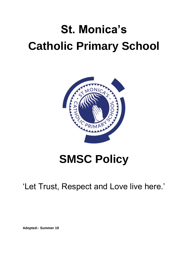# **St. Monica's Catholic Primary School**



## **SMSC Policy**

'Let Trust, Respect and Love live here.'

**Adopted:- Summer 19**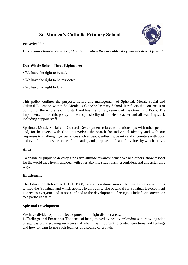### **St. Monica's Catholic Primary School**

#### *Proverbs 22:6*

*Direct your children on the right path and when they are older they will not depart from it***.**

#### **Our Whole School Three Rights are:**

- We have the right to be safe
- We have the right to be respected
- We have the right to learn

This policy outlines the purpose, nature and management of Spiritual, Moral, Social and Cultural Education within St. Monica's Catholic Primary School. It reflects the consensus of opinion of the whole teaching staff and has the full agreement of the Governing Body. The implementation of this policy is the responsibility of the Headteacher and all teaching staff, including support staff.

Spiritual, Moral, Social and Cultural Development relates to relationships with other people and, for believers, with God. It involves the search for individual identity and with our responses to challenging experiences such as death, suffering, beauty and encounters with good and evil. It promotes the search for meaning and purpose in life and for values by which to live.

#### **Aims**

To enable all pupils to develop a positive attitude towards themselves and others, show respect for the world they live in and deal with everyday life situations in a confident and understanding way.

#### **Entitlement**

The Education Reform Act (DfE 1988) refers to a dimension of human existence which is termed the 'Spiritual' and which applies to all pupils. The potential for Spiritual Development is open to everyone and is not confined to the development of religious beliefs or conversion to a particular faith.

#### **Spiritual Development**

We have divided Spiritual Development into eight distinct areas:

**1. Feelings and Emotions:** The sense of being moved by beauty or kindness; hurt by injustice or aggression; a growing awareness of when it is important to control emotions and feelings and how to learn to use such feelings as a source of growth.

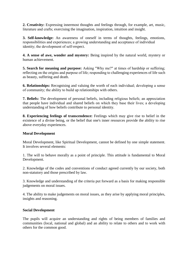**2. Creativity:** Expressing innermost thoughts and feelings through, for example, art, music, literature and crafts; exercising the imagination, inspiration, intuition and insight.

**3. Self-knowledge:** An awareness of oneself in terms of thoughts, feelings, emotions, responsibilities and experiences; a growing understanding and acceptance of individual identity; the development of self-respect.

**4. A sense of awe, wonder and mystery:** Being inspired by the natural world, mystery or human achievement.

**5. Search for meaning and purpose:** Asking "Why me?" at times of hardship or suffering; reflecting on the origins and purpose of life; responding to challenging experiences of life such as beauty, suffering and death.

**6. Relationships:** Recognising and valuing the worth of each individual; developing a sense of community; the ability to build up relationships with others.

**7. Beliefs:** The development of personal beliefs, including religious beliefs; an appreciation that people have individual and shared beliefs on which they base their lives; a developing understanding of how beliefs contribute to personal identity.

**8. Experiencing feelings of transcendence:** Feelings which may give rise to belief in the existence of a divine being, or the belief that one's inner resources provide the ability to rise above everyday experiences.

#### **Moral Development**

Moral Development, like Spiritual Development, cannot be defined by one simple statement. It involves several elements:

1. The will to behave morally as a point of principle. This attitude is fundamental to Moral Development.

2. Knowledge of the codes and conventions of conduct agreed currently by our society, both non-statutory and those prescribed by law.

3. Knowledge and understanding of the criteria put forward as a basis for making responsible judgements on moral issues.

4. The ability to make judgements on moral issues, as they arise by applying moral principles, insights and reasoning.

#### **Social Development**

The pupils will acquire an understanding and rights of being members of families and communities (local, national and global) and an ability to relate to others and to work with others for the common good.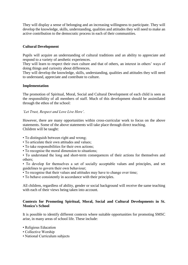They will display a sense of belonging and an increasing willingness to participate. They will develop the knowledge, skills, understanding, qualities and attitudes they will need to make an active contribution to the democratic process in each of their communities.

#### **Cultural Development**

Pupils will acquire an understanding of cultural traditions and an ability to appreciate and respond to a variety of aesthetic experiences.

They will learn to respect their own culture and that of others, an interest in others' ways of doing things and curiosity about differences.

They will develop the knowledge, skills, understanding, qualities and attitudes they will need to understand, appreciate and contribute to culture.

#### **Implementation**

The promotion of Spiritual, Moral, Social and Cultural Development of each child is seen as the responsibility of all members of staff. Much of this development should be assimilated through the ethos of the school:

#### *'Let Trust, Respect and Love Live Here'.*

However, there are many opportunities within cross-curricular work to focus on the above statements. Some of the above statements will take place through direct teaching. Children will be taught:

- To distinguish between right and wrong;
- To articulate their own attitudes and values;
- To take responsibilities for their own actions;
- To recognise the moral dimension to situations;
- To understand the long and short-term consequences of their actions for themselves and others;
- To develop for themselves a set of socially acceptable values and principles, and set guidelines to govern their own behaviour;
- To recognise that their values and attitudes may have to change over time;
- To behave consistently in accordance with their principles.

All children, regardless of ability, gender or social background will receive the same teaching with each of their views being taken into account.

#### **Contexts for Promoting Spiritual, Moral, Social and Cultural Developments in St. Monica's School**

It is possible to identify different contexts where suitable opportunities for promoting SMSC arise, in many areas of school life. These include:

- Religious Education
- Collective Worship
- National Curriculum subjects